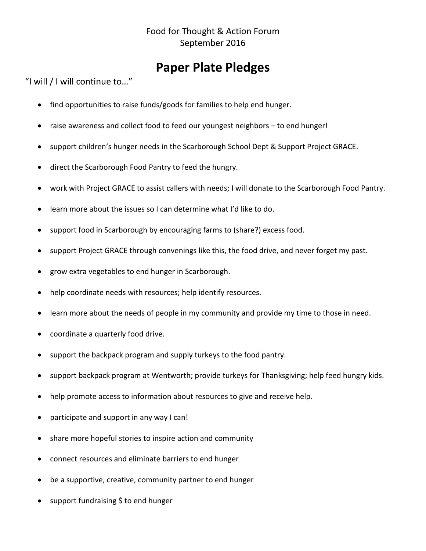### **Paper Plate Pledges**

"I will / I will continue to…"

- find opportunities to raise funds/goods for families to help end hunger.
- raise awareness and collect food to feed our youngest neighbors to end hunger!
- support children's hunger needs in the Scarborough School Dept & Support Project GRACE.
- direct the Scarborough Food Pantry to feed the hungry.
- work with Project GRACE to assist callers with needs; I will donate to the Scarborough Food Pantry.
- learn more about the issues so I can determine what I'd like to do.
- support food in Scarborough by encouraging farms to (share?) excess food.
- support Project GRACE through convenings like this, the food drive, and never forget my past.
- grow extra vegetables to end hunger in Scarborough.
- help coordinate needs with resources; help identify resources.
- learn more about the needs of people in my community and provide my time to those in need.
- coordinate a quarterly food drive.
- support the backpack program and supply turkeys to the food pantry.
- support backpack program at Wentworth; provide turkeys for Thanksgiving; help feed hungry kids.
- help promote access to information about resources to give and receive help.
- participate and support in any way I can!
- share more hopeful stories to inspire action and community
- connect resources and eliminate barriers to end hunger
- be a supportive, creative, community partner to end hunger
- support fundraising \$ to end hunger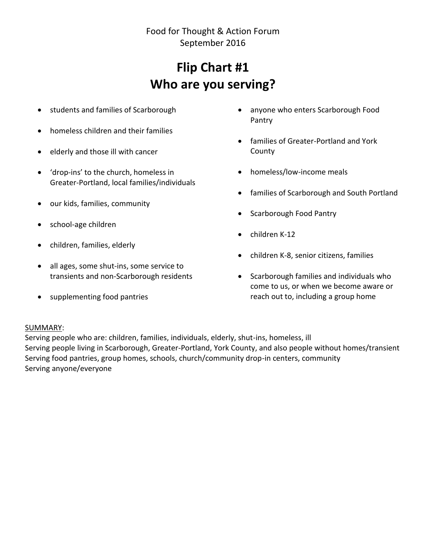# **Flip Chart #1 Who are you serving?**

- students and families of Scarborough
- homeless children and their families
- elderly and those ill with cancer
- 'drop-ins' to the church, homeless in Greater-Portland, local families/individuals
- our kids, families, community
- school-age children
- children, families, elderly
- all ages, some shut-ins, some service to transients and non-Scarborough residents
- supplementing food pantries
- anyone who enters Scarborough Food Pantry
- families of Greater-Portland and York County
- homeless/low-income meals
- families of Scarborough and South Portland
- Scarborough Food Pantry
- $\bullet$  children K-12
- children K-8, senior citizens, families
- Scarborough families and individuals who come to us, or when we become aware or reach out to, including a group home

#### SUMMARY:

Serving people who are: children, families, individuals, elderly, shut-ins, homeless, ill Serving people living in Scarborough, Greater-Portland, York County, and also people without homes/transient Serving food pantries, group homes, schools, church/community drop-in centers, community Serving anyone/everyone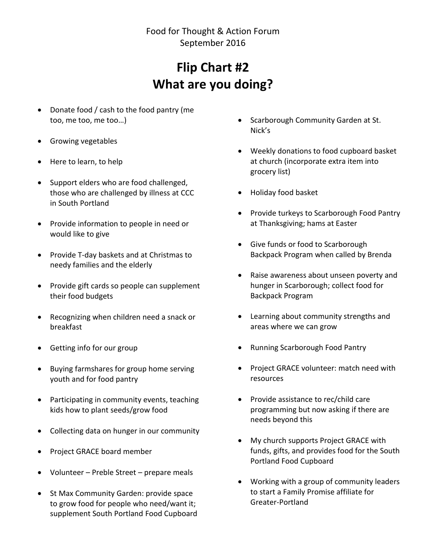## **Flip Chart #2 What are you doing?**

- Donate food / cash to the food pantry (me too, me too, me too…)
- Growing vegetables
- Here to learn, to help
- Support elders who are food challenged, those who are challenged by illness at CCC in South Portland
- Provide information to people in need or would like to give
- Provide T-day baskets and at Christmas to needy families and the elderly
- Provide gift cards so people can supplement their food budgets
- Recognizing when children need a snack or breakfast
- Getting info for our group
- Buying farmshares for group home serving youth and for food pantry
- Participating in community events, teaching kids how to plant seeds/grow food
- Collecting data on hunger in our community
- Project GRACE board member
- Volunteer Preble Street prepare meals
- St Max Community Garden: provide space to grow food for people who need/want it; supplement South Portland Food Cupboard
- Scarborough Community Garden at St. Nick's
- Weekly donations to food cupboard basket at church (incorporate extra item into grocery list)
- Holiday food basket
- Provide turkeys to Scarborough Food Pantry at Thanksgiving; hams at Easter
- Give funds or food to Scarborough Backpack Program when called by Brenda
- Raise awareness about unseen poverty and hunger in Scarborough; collect food for Backpack Program
- Learning about community strengths and areas where we can grow
- Running Scarborough Food Pantry
- Project GRACE volunteer: match need with resources
- Provide assistance to rec/child care programming but now asking if there are needs beyond this
- My church supports Project GRACE with funds, gifts, and provides food for the South Portland Food Cupboard
- Working with a group of community leaders to start a Family Promise affiliate for Greater-Portland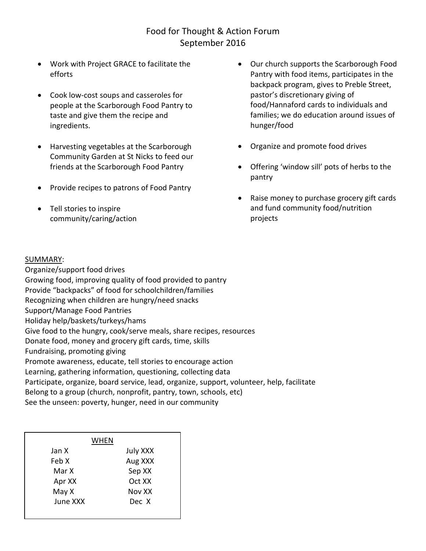- Work with Project GRACE to facilitate the efforts
- Cook low-cost soups and casseroles for people at the Scarborough Food Pantry to taste and give them the recipe and ingredients.
- Harvesting vegetables at the Scarborough Community Garden at St Nicks to feed our friends at the Scarborough Food Pantry
- Provide recipes to patrons of Food Pantry
- Tell stories to inspire community/caring/action
- Our church supports the Scarborough Food Pantry with food items, participates in the backpack program, gives to Preble Street, pastor's discretionary giving of food/Hannaford cards to individuals and families; we do education around issues of hunger/food
- Organize and promote food drives
- Offering 'window sill' pots of herbs to the pantry
- Raise money to purchase grocery gift cards and fund community food/nutrition projects

#### SUMMARY:

Organize/support food drives Growing food, improving quality of food provided to pantry Provide "backpacks" of food for schoolchildren/families Recognizing when children are hungry/need snacks Support/Manage Food Pantries Holiday help/baskets/turkeys/hams Give food to the hungry, cook/serve meals, share recipes, resources Donate food, money and grocery gift cards, time, skills Fundraising, promoting giving Promote awareness, educate, tell stories to encourage action Learning, gathering information, questioning, collecting data Participate, organize, board service, lead, organize, support, volunteer, help, facilitate Belong to a group (church, nonprofit, pantry, town, schools, etc) See the unseen: poverty, hunger, need in our community

| WHEN     |          |
|----------|----------|
| Jan X    | July XXX |
| Feb X    | Aug XXX  |
| Mar X    | Sep XX   |
| Apr XX   | Oct XX   |
| May X    | Nov XX   |
| June XXX | Dec X    |
|          |          |